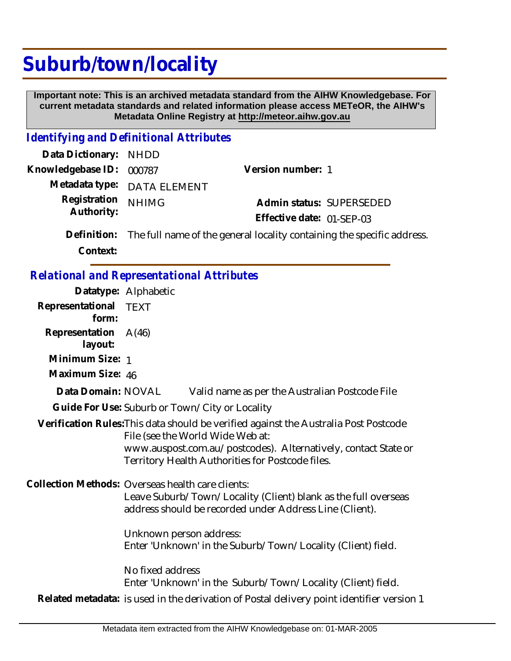## **Suburb/town/locality**

 **Important note: This is an archived metadata standard from the AIHW Knowledgebase. For current metadata standards and related information please access METeOR, the AIHW's Metadata Online Registry at http://meteor.aihw.gov.au**

## *Identifying and Definitional Attributes*

| Data Dictionary:                                  | <b>NHDD</b>                                                                                                              |                                                                                                                                                          |
|---------------------------------------------------|--------------------------------------------------------------------------------------------------------------------------|----------------------------------------------------------------------------------------------------------------------------------------------------------|
| Knowledgebase ID:                                 | 000787                                                                                                                   | Version number: 1                                                                                                                                        |
| Metadata type:                                    | <b>DATA ELEMENT</b>                                                                                                      |                                                                                                                                                          |
| Registration                                      | <b>NHIMG</b>                                                                                                             | Admin status: SUPERSEDED                                                                                                                                 |
| Authority:                                        |                                                                                                                          | Effective date: 01-SEP-03                                                                                                                                |
| Definition:                                       | The full name of the general locality containing the specific address.                                                   |                                                                                                                                                          |
| Context:                                          |                                                                                                                          |                                                                                                                                                          |
| <b>Relational and Representational Attributes</b> |                                                                                                                          |                                                                                                                                                          |
|                                                   | Datatype: Alphabetic                                                                                                     |                                                                                                                                                          |
| Representational<br>form:                         | <b>TEXT</b>                                                                                                              |                                                                                                                                                          |
| Representation<br>layout:                         | A(46)                                                                                                                    |                                                                                                                                                          |
| Minimum Size: 1                                   |                                                                                                                          |                                                                                                                                                          |
| Maximum Size: 46                                  |                                                                                                                          |                                                                                                                                                          |
| Data Domain: NOVAL                                |                                                                                                                          | Valid name as per the Australian Postcode File                                                                                                           |
|                                                   |                                                                                                                          | Guide For Use: Suburb or Town/City or Locality                                                                                                           |
|                                                   | Verification Rules: This data should be verified against the Australia Post Postcode<br>File (see the World Wide Web at: |                                                                                                                                                          |
|                                                   |                                                                                                                          | www.auspost.com.au/postcodes). Alternatively, contact State or<br>Territory Health Authorities for Postcode files.                                       |
| Collection Methods: Overseas health care clients: |                                                                                                                          | Leave Suburb/Town/Locality (Client) blank as the full overseas<br>address should be recorded under Address Line (Client).                                |
|                                                   | Unknown person address:<br>Enter 'Unknown' in the Suburb/Town/Locality (Client) field.                                   |                                                                                                                                                          |
|                                                   | No fixed address                                                                                                         | Enter 'Unknown' in the Suburb/Town/Locality (Client) field.<br>Related metadata: is used in the derivation of Postal delivery point identifier version 1 |